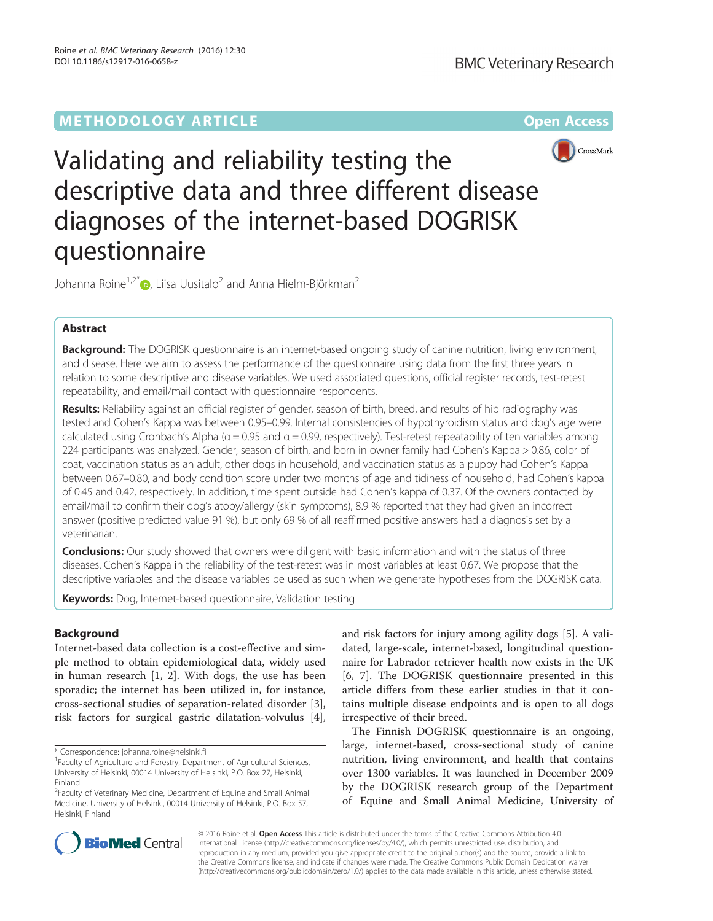# METHODOLOGY ARTICLE And the control of the control open Access



# Validating and reliability testing the descriptive data and three different disease diagnoses of the internet-based DOGRISK questionnaire

Johanna Roine<sup>1,2\*</sup> <sub>(b</sub>, Liisa Uusitalo<sup>2</sup> and Anna Hielm-Björkman<sup>2</sup>

# Abstract

Background: The DOGRISK questionnaire is an internet-based ongoing study of canine nutrition, living environment, and disease. Here we aim to assess the performance of the questionnaire using data from the first three years in relation to some descriptive and disease variables. We used associated questions, official register records, test-retest repeatability, and email/mail contact with questionnaire respondents.

Results: Reliability against an official register of gender, season of birth, breed, and results of hip radiography was tested and Cohen's Kappa was between 0.95–0.99. Internal consistencies of hypothyroidism status and dog's age were calculated using Cronbach's Alpha ( $\alpha$  = 0.95 and  $\alpha$  = 0.99, respectively). Test-retest repeatability of ten variables among 224 participants was analyzed. Gender, season of birth, and born in owner family had Cohen's Kappa > 0.86, color of coat, vaccination status as an adult, other dogs in household, and vaccination status as a puppy had Cohen's Kappa between 0.67–0.80, and body condition score under two months of age and tidiness of household, had Cohen's kappa of 0.45 and 0.42, respectively. In addition, time spent outside had Cohen's kappa of 0.37. Of the owners contacted by email/mail to confirm their dog's atopy/allergy (skin symptoms), 8.9 % reported that they had given an incorrect answer (positive predicted value 91 %), but only 69 % of all reaffirmed positive answers had a diagnosis set by a veterinarian.

Conclusions: Our study showed that owners were diligent with basic information and with the status of three diseases. Cohen's Kappa in the reliability of the test-retest was in most variables at least 0.67. We propose that the descriptive variables and the disease variables be used as such when we generate hypotheses from the DOGRISK data.

Keywords: Dog, Internet-based questionnaire, Validation testing

# Background

Internet-based data collection is a cost-effective and simple method to obtain epidemiological data, widely used in human research [1, 2]. With dogs, the use has been sporadic; the internet has been utilized in, for instance, cross-sectional studies of separation-related disorder [3], risk factors for surgical gastric dilatation-volvulus [4],

<sup>2</sup> Faculty of Veterinary Medicine, Department of Equine and Small Animal Medicine, University of Helsinki, 00014 University of Helsinki, P.O. Box 57, Helsinki, Finland

and risk factors for injury among agility dogs [5]. A validated, large-scale, internet-based, longitudinal questionnaire for Labrador retriever health now exists in the UK [6, 7]. The DOGRISK questionnaire presented in this article differs from these earlier studies in that it contains multiple disease endpoints and is open to all dogs irrespective of their breed.

The Finnish DOGRISK questionnaire is an ongoing, large, internet-based, cross-sectional study of canine nutrition, living environment, and health that contains over 1300 variables. It was launched in December 2009 by the DOGRISK research group of the Department of Equine and Small Animal Medicine, University of



© 2016 Roine et al. Open Access This article is distributed under the terms of the Creative Commons Attribution 4.0 International License (http://creativecommons.org/licenses/by/4.0/), which permits unrestricted use, distribution, and reproduction in any medium, provided you give appropriate credit to the original author(s) and the source, provide a link to the Creative Commons license, and indicate if changes were made. The Creative Commons Public Domain Dedication waiver (http://creativecommons.org/publicdomain/zero/1.0/) applies to the data made available in this article, unless otherwise stated.

<sup>\*</sup> Correspondence: johanna.roine@helsinki.fi <sup>1</sup>

<sup>&</sup>lt;sup>1</sup>Faculty of Agriculture and Forestry, Department of Agricultural Sciences, University of Helsinki, 00014 University of Helsinki, P.O. Box 27, Helsinki, Finland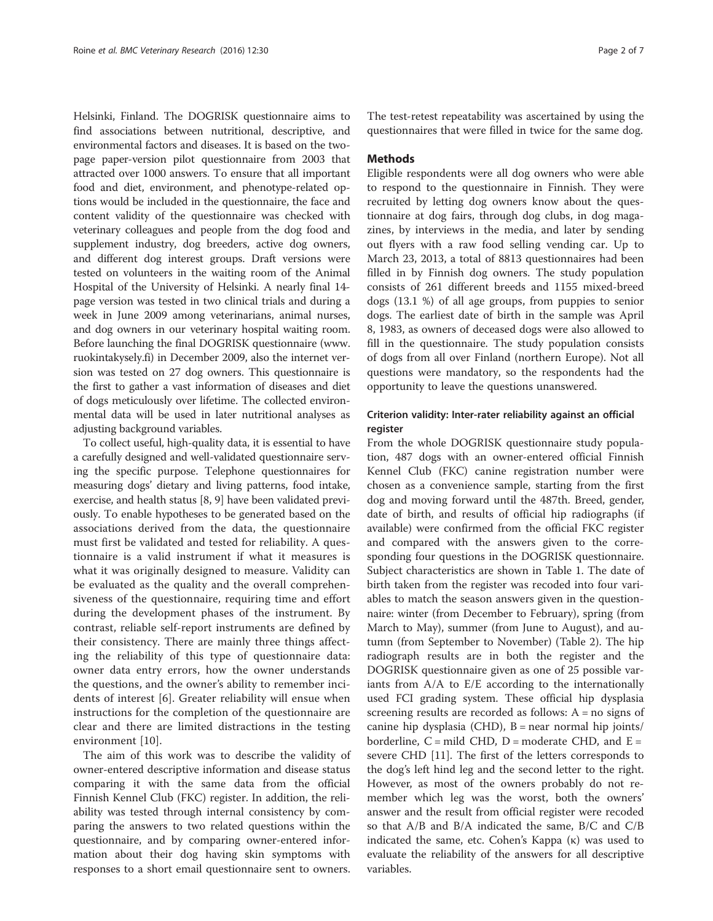Helsinki, Finland. The DOGRISK questionnaire aims to find associations between nutritional, descriptive, and environmental factors and diseases. It is based on the twopage paper-version pilot questionnaire from 2003 that attracted over 1000 answers. To ensure that all important food and diet, environment, and phenotype-related options would be included in the questionnaire, the face and content validity of the questionnaire was checked with veterinary colleagues and people from the dog food and supplement industry, dog breeders, active dog owners, and different dog interest groups. Draft versions were tested on volunteers in the waiting room of the Animal Hospital of the University of Helsinki. A nearly final 14 page version was tested in two clinical trials and during a week in June 2009 among veterinarians, animal nurses, and dog owners in our veterinary hospital waiting room. Before launching the final DOGRISK questionnaire (www. ruokintakysely.fi) in December 2009, also the internet version was tested on 27 dog owners. This questionnaire is the first to gather a vast information of diseases and diet of dogs meticulously over lifetime. The collected environmental data will be used in later nutritional analyses as adjusting background variables.

To collect useful, high-quality data, it is essential to have a carefully designed and well-validated questionnaire serving the specific purpose. Telephone questionnaires for measuring dogs' dietary and living patterns, food intake, exercise, and health status [8, 9] have been validated previously. To enable hypotheses to be generated based on the associations derived from the data, the questionnaire must first be validated and tested for reliability. A questionnaire is a valid instrument if what it measures is what it was originally designed to measure. Validity can be evaluated as the quality and the overall comprehensiveness of the questionnaire, requiring time and effort during the development phases of the instrument. By contrast, reliable self-report instruments are defined by their consistency. There are mainly three things affecting the reliability of this type of questionnaire data: owner data entry errors, how the owner understands the questions, and the owner's ability to remember incidents of interest [6]. Greater reliability will ensue when instructions for the completion of the questionnaire are clear and there are limited distractions in the testing environment [10].

The aim of this work was to describe the validity of owner-entered descriptive information and disease status comparing it with the same data from the official Finnish Kennel Club (FKC) register. In addition, the reliability was tested through internal consistency by comparing the answers to two related questions within the questionnaire, and by comparing owner-entered information about their dog having skin symptoms with responses to a short email questionnaire sent to owners.

The test-retest repeatability was ascertained by using the questionnaires that were filled in twice for the same dog.

## Methods

Eligible respondents were all dog owners who were able to respond to the questionnaire in Finnish. They were recruited by letting dog owners know about the questionnaire at dog fairs, through dog clubs, in dog magazines, by interviews in the media, and later by sending out flyers with a raw food selling vending car. Up to March 23, 2013, a total of 8813 questionnaires had been filled in by Finnish dog owners. The study population consists of 261 different breeds and 1155 mixed-breed dogs (13.1 %) of all age groups, from puppies to senior dogs. The earliest date of birth in the sample was April 8, 1983, as owners of deceased dogs were also allowed to fill in the questionnaire. The study population consists of dogs from all over Finland (northern Europe). Not all questions were mandatory, so the respondents had the opportunity to leave the questions unanswered.

# Criterion validity: Inter-rater reliability against an official register

From the whole DOGRISK questionnaire study population, 487 dogs with an owner-entered official Finnish Kennel Club (FKC) canine registration number were chosen as a convenience sample, starting from the first dog and moving forward until the 487th. Breed, gender, date of birth, and results of official hip radiographs (if available) were confirmed from the official FKC register and compared with the answers given to the corresponding four questions in the DOGRISK questionnaire. Subject characteristics are shown in Table 1. The date of birth taken from the register was recoded into four variables to match the season answers given in the questionnaire: winter (from December to February), spring (from March to May), summer (from June to August), and autumn (from September to November) (Table 2). The hip radiograph results are in both the register and the DOGRISK questionnaire given as one of 25 possible variants from A/A to E/E according to the internationally used FCI grading system. These official hip dysplasia screening results are recorded as follows:  $A = no$  signs of canine hip dysplasia (CHD),  $B = near normal hip joint s/$ borderline,  $C =$  mild CHD,  $D =$  moderate CHD, and  $E =$ severe CHD [11]. The first of the letters corresponds to the dog's left hind leg and the second letter to the right. However, as most of the owners probably do not remember which leg was the worst, both the owners' answer and the result from official register were recoded so that A/B and B/A indicated the same, B/C and C/B indicated the same, etc. Cohen's Kappa (κ) was used to evaluate the reliability of the answers for all descriptive variables.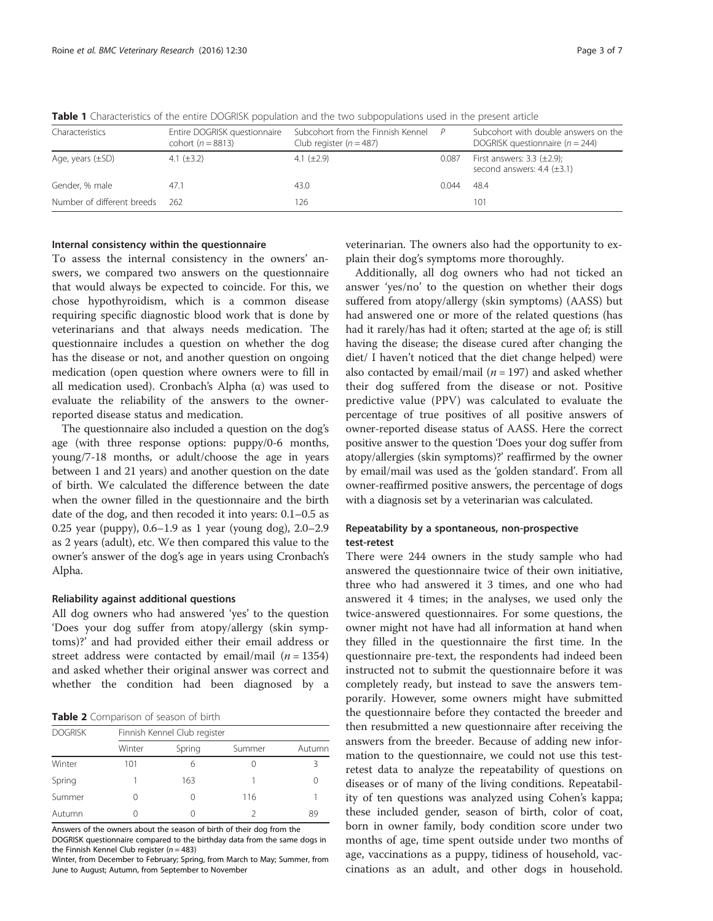| Characteristics            | Entire DOGRISK questionnaire<br>cohort ( $n = 8813$ ) | Subcohort from the Finnish Kennel $P$<br>Club register $(n = 487)$ |       | Subcohort with double answers on the<br>DOGRISK questionnaire ( $n = 244$ ) |
|----------------------------|-------------------------------------------------------|--------------------------------------------------------------------|-------|-----------------------------------------------------------------------------|
| Age, years $(\pm SD)$      | 4.1 $(\pm 3.2)$                                       | 4.1 $(\pm 2.9)$                                                    | 0.087 | First answers: $3.3 \ (\pm 2.9)$ ;<br>second answers: $4.4 \ (\pm 3.1)$     |
| Gender, % male             | 47.1                                                  | 43.0                                                               | 0.044 | 48.4                                                                        |
| Number of different breeds | - 262                                                 | 126                                                                |       | 101                                                                         |

Table 1 Characteristics of the entire DOGRISK population and the two subpopulations used in the present article

#### Internal consistency within the questionnaire

To assess the internal consistency in the owners' answers, we compared two answers on the questionnaire that would always be expected to coincide. For this, we chose hypothyroidism, which is a common disease requiring specific diagnostic blood work that is done by veterinarians and that always needs medication. The questionnaire includes a question on whether the dog has the disease or not, and another question on ongoing medication (open question where owners were to fill in all medication used). Cronbach's Alpha  $(α)$  was used to evaluate the reliability of the answers to the ownerreported disease status and medication.

The questionnaire also included a question on the dog's age (with three response options: puppy/0-6 months, young/7-18 months, or adult/choose the age in years between 1 and 21 years) and another question on the date of birth. We calculated the difference between the date when the owner filled in the questionnaire and the birth date of the dog, and then recoded it into years: 0.1–0.5 as 0.25 year (puppy), 0.6–1.9 as 1 year (young dog), 2.0–2.9 as 2 years (adult), etc. We then compared this value to the owner's answer of the dog's age in years using Cronbach's Alpha.

#### Reliability against additional questions

All dog owners who had answered 'yes' to the question 'Does your dog suffer from atopy/allergy (skin symptoms)?' and had provided either their email address or street address were contacted by email/mail  $(n = 1354)$ and asked whether their original answer was correct and whether the condition had been diagnosed by a

Table 2 Comparison of season of birth

| <b>DOGRISK</b> |        | Finnish Kennel Club register |        |        |
|----------------|--------|------------------------------|--------|--------|
|                | Winter | Spring                       | Summer | Autumn |
| Winter         | 101    | h                            |        |        |
| Spring         |        | 163                          |        |        |
| Summer         |        |                              | 116    |        |
| Autumn         |        |                              |        | 89     |

Answers of the owners about the season of birth of their dog from the DOGRISK questionnaire compared to the birthday data from the same dogs in the Finnish Kennel Club register  $(n = 483)$ 

Winter, from December to February; Spring, from March to May; Summer, from June to August; Autumn, from September to November

veterinarian. The owners also had the opportunity to explain their dog's symptoms more thoroughly.

Additionally, all dog owners who had not ticked an answer 'yes/no' to the question on whether their dogs suffered from atopy/allergy (skin symptoms) (AASS) but had answered one or more of the related questions (has had it rarely/has had it often; started at the age of; is still having the disease; the disease cured after changing the diet/ I haven't noticed that the diet change helped) were also contacted by email/mail ( $n = 197$ ) and asked whether their dog suffered from the disease or not. Positive predictive value (PPV) was calculated to evaluate the percentage of true positives of all positive answers of owner-reported disease status of AASS. Here the correct positive answer to the question 'Does your dog suffer from atopy/allergies (skin symptoms)?' reaffirmed by the owner by email/mail was used as the 'golden standard'. From all owner-reaffirmed positive answers, the percentage of dogs with a diagnosis set by a veterinarian was calculated.

# Repeatability by a spontaneous, non-prospective test-retest

There were 244 owners in the study sample who had answered the questionnaire twice of their own initiative, three who had answered it 3 times, and one who had answered it 4 times; in the analyses, we used only the twice-answered questionnaires. For some questions, the owner might not have had all information at hand when they filled in the questionnaire the first time. In the questionnaire pre-text, the respondents had indeed been instructed not to submit the questionnaire before it was completely ready, but instead to save the answers temporarily. However, some owners might have submitted the questionnaire before they contacted the breeder and then resubmitted a new questionnaire after receiving the answers from the breeder. Because of adding new information to the questionnaire, we could not use this testretest data to analyze the repeatability of questions on diseases or of many of the living conditions. Repeatability of ten questions was analyzed using Cohen's kappa; these included gender, season of birth, color of coat, born in owner family, body condition score under two months of age, time spent outside under two months of age, vaccinations as a puppy, tidiness of household, vaccinations as an adult, and other dogs in household.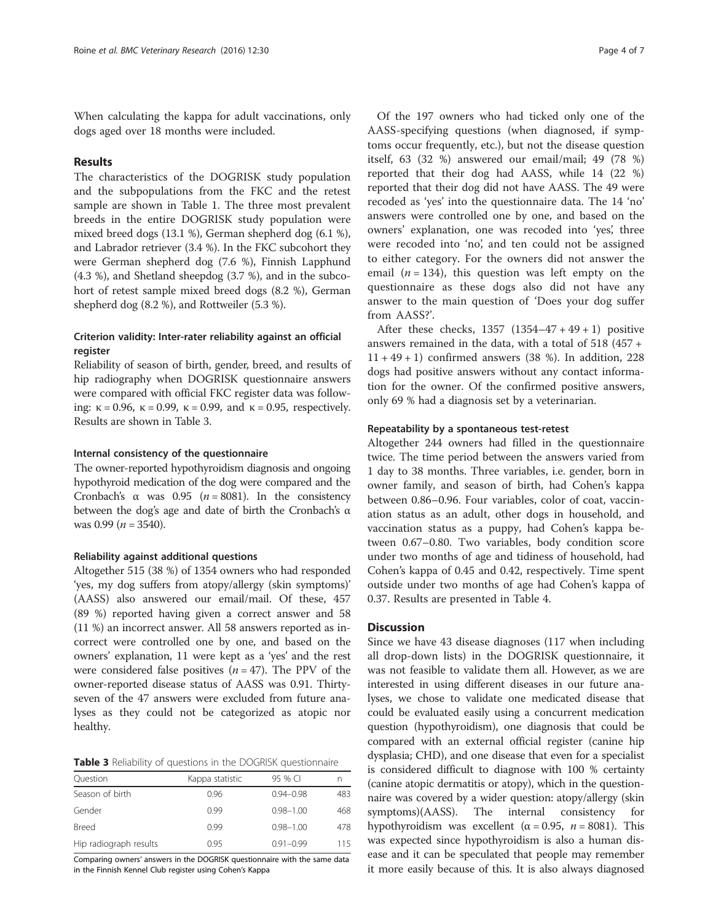When calculating the kappa for adult vaccinations, only dogs aged over 18 months were included.

### **Results**

The characteristics of the DOGRISK study population and the subpopulations from the FKC and the retest sample are shown in Table 1. The three most prevalent breeds in the entire DOGRISK study population were mixed breed dogs (13.1 %), German shepherd dog (6.1 %), and Labrador retriever (3.4 %). In the FKC subcohort they were German shepherd dog (7.6 %), Finnish Lapphund (4.3 %), and Shetland sheepdog (3.7 %), and in the subcohort of retest sample mixed breed dogs (8.2 %), German shepherd dog (8.2 %), and Rottweiler (5.3 %).

## Criterion validity: Inter-rater reliability against an official register

Reliability of season of birth, gender, breed, and results of hip radiography when DOGRISK questionnaire answers were compared with official FKC register data was following:  $κ = 0.96$ ,  $κ = 0.99$ ,  $κ = 0.99$ , and  $κ = 0.95$ , respectively. Results are shown in Table 3.

#### Internal consistency of the questionnaire

The owner-reported hypothyroidism diagnosis and ongoing hypothyroid medication of the dog were compared and the Cronbach's  $\alpha$  was 0.95 ( $n = 8081$ ). In the consistency between the dog's age and date of birth the Cronbach's  $\alpha$ was 0.99 ( $n = 3540$ ).

#### Reliability against additional questions

Altogether 515 (38 %) of 1354 owners who had responded 'yes, my dog suffers from atopy/allergy (skin symptoms)' (AASS) also answered our email/mail. Of these, 457 (89 %) reported having given a correct answer and 58 (11 %) an incorrect answer. All 58 answers reported as incorrect were controlled one by one, and based on the owners' explanation, 11 were kept as a 'yes' and the rest were considered false positives  $(n = 47)$ . The PPV of the owner-reported disease status of AASS was 0.91. Thirtyseven of the 47 answers were excluded from future analyses as they could not be categorized as atopic nor healthy.

| Table 3 Reliability of questions in the DOGRISK questionnaire |  |
|---------------------------------------------------------------|--|
|---------------------------------------------------------------|--|

| Question               | Kappa statistic | 95 % CI       | n   |
|------------------------|-----------------|---------------|-----|
| Season of birth        | 0.96            | $0.94 - 0.98$ | 483 |
| Gender                 | 0.99            | $0.98 - 1.00$ | 468 |
| Breed                  | 0.99            | $0.98 - 1.00$ | 478 |
| Hip radiograph results | 0.95            | $0.91 - 0.99$ | 115 |

Comparing owners' answers in the DOGRISK questionnaire with the same data in the Finnish Kennel Club register using Cohen's Kappa

Of the 197 owners who had ticked only one of the AASS-specifying questions (when diagnosed, if symptoms occur frequently, etc.), but not the disease question itself, 63 (32 %) answered our email/mail; 49 (78 %) reported that their dog had AASS, while 14 (22 %) reported that their dog did not have AASS. The 49 were recoded as 'yes' into the questionnaire data. The 14 'no' answers were controlled one by one, and based on the owners' explanation, one was recoded into 'yes', three were recoded into 'no', and ten could not be assigned to either category. For the owners did not answer the email ( $n = 134$ ), this question was left empty on the questionnaire as these dogs also did not have any answer to the main question of 'Does your dog suffer from AASS?'.

After these checks,  $1357$   $(1354-47+49+1)$  positive answers remained in the data, with a total of 518 (457 +  $11 + 49 + 1$ ) confirmed answers (38 %). In addition, 228 dogs had positive answers without any contact information for the owner. Of the confirmed positive answers, only 69 % had a diagnosis set by a veterinarian.

#### Repeatability by a spontaneous test-retest

Altogether 244 owners had filled in the questionnaire twice. The time period between the answers varied from 1 day to 38 months. Three variables, i.e. gender, born in owner family, and season of birth, had Cohen's kappa between 0.86–0.96. Four variables, color of coat, vaccination status as an adult, other dogs in household, and vaccination status as a puppy, had Cohen's kappa between 0.67–0.80. Two variables, body condition score under two months of age and tidiness of household, had Cohen's kappa of 0.45 and 0.42, respectively. Time spent outside under two months of age had Cohen's kappa of 0.37. Results are presented in Table 4.

# **Discussion**

Since we have 43 disease diagnoses (117 when including all drop-down lists) in the DOGRISK questionnaire, it was not feasible to validate them all. However, as we are interested in using different diseases in our future analyses, we chose to validate one medicated disease that could be evaluated easily using a concurrent medication question (hypothyroidism), one diagnosis that could be compared with an external official register (canine hip dysplasia; CHD), and one disease that even for a specialist is considered difficult to diagnose with 100 % certainty (canine atopic dermatitis or atopy), which in the questionnaire was covered by a wider question: atopy/allergy (skin symptoms)(AASS). The internal consistency for hypothyroidism was excellent ( $\alpha = 0.95$ ,  $n = 8081$ ). This was expected since hypothyroidism is also a human disease and it can be speculated that people may remember it more easily because of this. It is also always diagnosed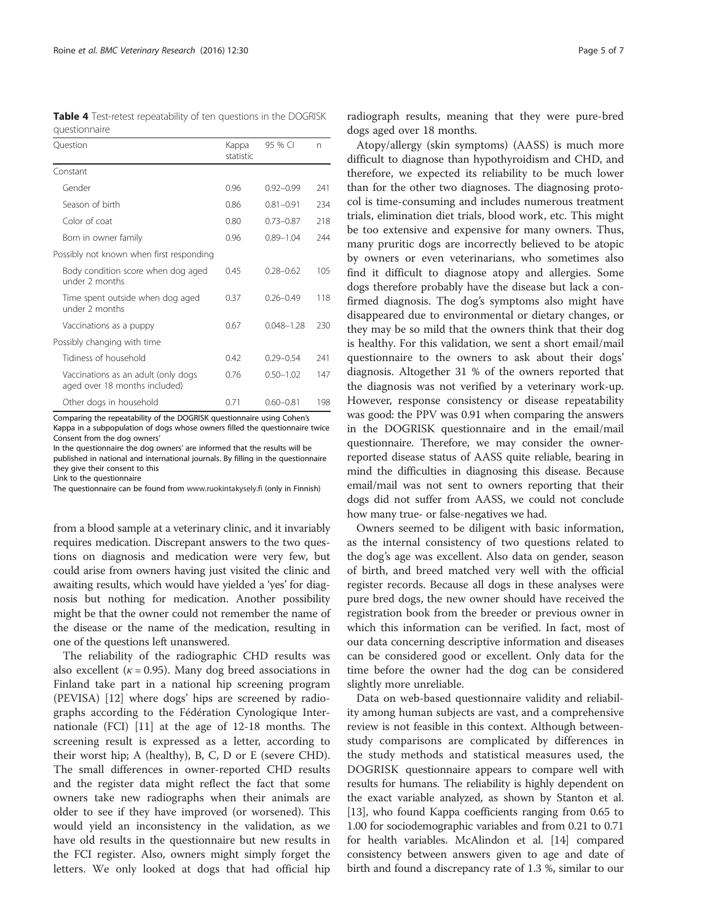Table 4 Test-retest repeatability of ten questions in the DOGRISK questionnaire

| Ouestion                                                             | Kappa<br>statistic | 95 % CI        | n   |
|----------------------------------------------------------------------|--------------------|----------------|-----|
| Constant                                                             |                    |                |     |
| Gender                                                               | 0.96               | $0.92 - 0.99$  | 241 |
| Season of birth                                                      | 0.86               | $0.81 - 0.91$  | 234 |
| Color of coat                                                        | 0.80               | $0.73 - 0.87$  | 218 |
| Born in owner family                                                 | 0.96               | $0.89 - 1.04$  | 244 |
| Possibly not known when first responding                             |                    |                |     |
| Body condition score when dog aged<br>under 2 months                 | 0.45               | $0.28 - 0.62$  | 105 |
| Time spent outside when dog aged<br>under 2 months                   | 0.37               | $0.26 - 0.49$  | 118 |
| Vaccinations as a puppy                                              | 0.67               | $0.048 - 1.28$ | 230 |
| Possibly changing with time                                          |                    |                |     |
| Tidiness of household                                                | 0.42               | $0.29 - 0.54$  | 241 |
| Vaccinations as an adult (only dogs<br>aged over 18 months included) | 0.76               | $0.50 - 1.02$  | 147 |
| Other dogs in household                                              | 0.71               | $0.60 - 0.81$  | 198 |

Comparing the repeatability of the DOGRISK questionnaire using Cohen's Kappa in a subpopulation of dogs whose owners filled the questionnaire twice

Consent from the dog owners' In the questionnaire the dog owners' are informed that the results will be

published in national and international journals. By filling in the questionnaire

they give their consent to this Link to the questionnaire

The questionnaire can be found from www.ruokintakysely.fi (only in Finnish)

from a blood sample at a veterinary clinic, and it invariably requires medication. Discrepant answers to the two questions on diagnosis and medication were very few, but could arise from owners having just visited the clinic and awaiting results, which would have yielded a 'yes' for diagnosis but nothing for medication. Another possibility might be that the owner could not remember the name of the disease or the name of the medication, resulting in one of the questions left unanswered.

The reliability of the radiographic CHD results was also excellent ( $\kappa$  = 0.95). Many dog breed associations in Finland take part in a national hip screening program (PEVISA) [12] where dogs' hips are screened by radiographs according to the Fédération Cynologique Internationale (FCI) [11] at the age of 12-18 months. The screening result is expressed as a letter, according to their worst hip; A (healthy), B, C, D or E (severe CHD). The small differences in owner-reported CHD results and the register data might reflect the fact that some owners take new radiographs when their animals are older to see if they have improved (or worsened). This would yield an inconsistency in the validation, as we have old results in the questionnaire but new results in the FCI register. Also, owners might simply forget the letters. We only looked at dogs that had official hip

radiograph results, meaning that they were pure-bred dogs aged over 18 months.

Atopy/allergy (skin symptoms) (AASS) is much more difficult to diagnose than hypothyroidism and CHD, and therefore, we expected its reliability to be much lower than for the other two diagnoses. The diagnosing protocol is time-consuming and includes numerous treatment trials, elimination diet trials, blood work, etc. This might be too extensive and expensive for many owners. Thus, many pruritic dogs are incorrectly believed to be atopic by owners or even veterinarians, who sometimes also find it difficult to diagnose atopy and allergies. Some dogs therefore probably have the disease but lack a confirmed diagnosis. The dog's symptoms also might have disappeared due to environmental or dietary changes, or they may be so mild that the owners think that their dog is healthy. For this validation, we sent a short email/mail questionnaire to the owners to ask about their dogs' diagnosis. Altogether 31 % of the owners reported that the diagnosis was not verified by a veterinary work-up. However, response consistency or disease repeatability was good: the PPV was 0.91 when comparing the answers in the DOGRISK questionnaire and in the email/mail questionnaire. Therefore, we may consider the ownerreported disease status of AASS quite reliable, bearing in mind the difficulties in diagnosing this disease. Because email/mail was not sent to owners reporting that their dogs did not suffer from AASS, we could not conclude how many true- or false-negatives we had.

Owners seemed to be diligent with basic information, as the internal consistency of two questions related to the dog's age was excellent. Also data on gender, season of birth, and breed matched very well with the official register records. Because all dogs in these analyses were pure bred dogs, the new owner should have received the registration book from the breeder or previous owner in which this information can be verified. In fact, most of our data concerning descriptive information and diseases can be considered good or excellent. Only data for the time before the owner had the dog can be considered slightly more unreliable.

Data on web-based questionnaire validity and reliability among human subjects are vast, and a comprehensive review is not feasible in this context. Although betweenstudy comparisons are complicated by differences in the study methods and statistical measures used, the DOGRISK questionnaire appears to compare well with results for humans. The reliability is highly dependent on the exact variable analyzed, as shown by Stanton et al. [13], who found Kappa coefficients ranging from 0.65 to 1.00 for sociodemographic variables and from 0.21 to 0.71 for health variables. McAlindon et al. [14] compared consistency between answers given to age and date of birth and found a discrepancy rate of 1.3 %, similar to our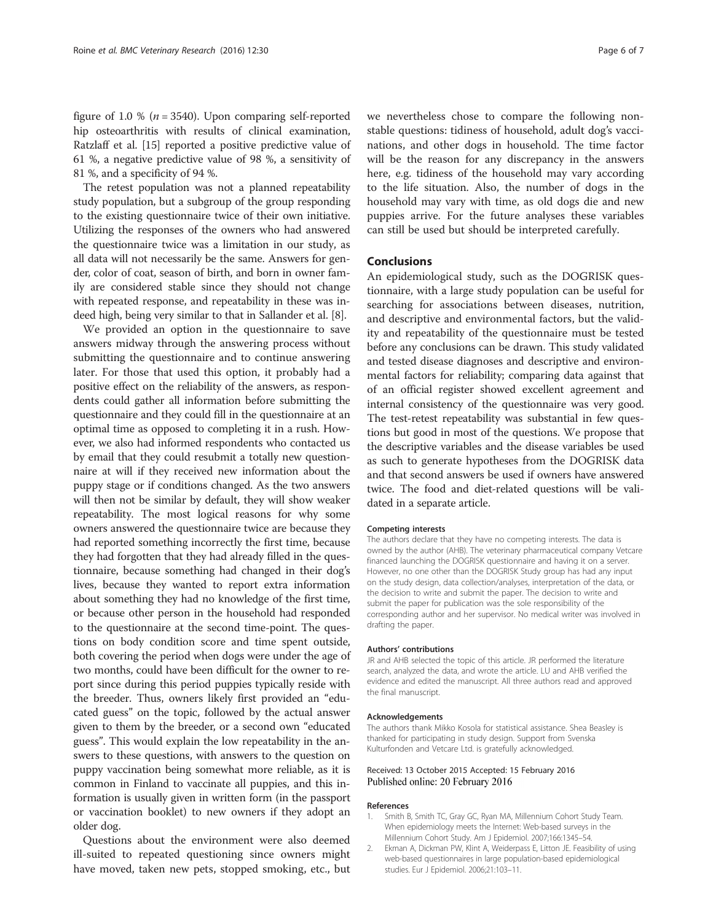figure of 1.0 % ( $n = 3540$ ). Upon comparing self-reported hip osteoarthritis with results of clinical examination, Ratzlaff et al. [15] reported a positive predictive value of 61 %, a negative predictive value of 98 %, a sensitivity of 81 %, and a specificity of 94 %.

The retest population was not a planned repeatability study population, but a subgroup of the group responding to the existing questionnaire twice of their own initiative. Utilizing the responses of the owners who had answered the questionnaire twice was a limitation in our study, as all data will not necessarily be the same. Answers for gender, color of coat, season of birth, and born in owner family are considered stable since they should not change with repeated response, and repeatability in these was indeed high, being very similar to that in Sallander et al. [8].

We provided an option in the questionnaire to save answers midway through the answering process without submitting the questionnaire and to continue answering later. For those that used this option, it probably had a positive effect on the reliability of the answers, as respondents could gather all information before submitting the questionnaire and they could fill in the questionnaire at an optimal time as opposed to completing it in a rush. However, we also had informed respondents who contacted us by email that they could resubmit a totally new questionnaire at will if they received new information about the puppy stage or if conditions changed. As the two answers will then not be similar by default, they will show weaker repeatability. The most logical reasons for why some owners answered the questionnaire twice are because they had reported something incorrectly the first time, because they had forgotten that they had already filled in the questionnaire, because something had changed in their dog's lives, because they wanted to report extra information about something they had no knowledge of the first time, or because other person in the household had responded to the questionnaire at the second time-point. The questions on body condition score and time spent outside, both covering the period when dogs were under the age of two months, could have been difficult for the owner to report since during this period puppies typically reside with the breeder. Thus, owners likely first provided an "educated guess" on the topic, followed by the actual answer given to them by the breeder, or a second own "educated guess". This would explain the low repeatability in the answers to these questions, with answers to the question on puppy vaccination being somewhat more reliable, as it is common in Finland to vaccinate all puppies, and this information is usually given in written form (in the passport or vaccination booklet) to new owners if they adopt an older dog.

Questions about the environment were also deemed ill-suited to repeated questioning since owners might have moved, taken new pets, stopped smoking, etc., but

we nevertheless chose to compare the following nonstable questions: tidiness of household, adult dog's vaccinations, and other dogs in household. The time factor will be the reason for any discrepancy in the answers here, e.g. tidiness of the household may vary according to the life situation. Also, the number of dogs in the household may vary with time, as old dogs die and new puppies arrive. For the future analyses these variables can still be used but should be interpreted carefully.

# Conclusions

An epidemiological study, such as the DOGRISK questionnaire, with a large study population can be useful for searching for associations between diseases, nutrition, and descriptive and environmental factors, but the validity and repeatability of the questionnaire must be tested before any conclusions can be drawn. This study validated and tested disease diagnoses and descriptive and environmental factors for reliability; comparing data against that of an official register showed excellent agreement and internal consistency of the questionnaire was very good. The test-retest repeatability was substantial in few questions but good in most of the questions. We propose that the descriptive variables and the disease variables be used as such to generate hypotheses from the DOGRISK data and that second answers be used if owners have answered twice. The food and diet-related questions will be validated in a separate article.

#### Competing interests

The authors declare that they have no competing interests. The data is owned by the author (AHB). The veterinary pharmaceutical company Vetcare financed launching the DOGRISK questionnaire and having it on a server. However, no one other than the DOGRISK Study group has had any input on the study design, data collection/analyses, interpretation of the data, or the decision to write and submit the paper. The decision to write and submit the paper for publication was the sole responsibility of the corresponding author and her supervisor. No medical writer was involved in drafting the paper.

#### Authors' contributions

JR and AHB selected the topic of this article. JR performed the literature search, analyzed the data, and wrote the article. LU and AHB verified the evidence and edited the manuscript. All three authors read and approved the final manuscript.

#### Acknowledgements

The authors thank Mikko Kosola for statistical assistance. Shea Beasley is thanked for participating in study design. Support from Svenska Kulturfonden and Vetcare Ltd. is gratefully acknowledged.

#### Received: 13 October 2015 Accepted: 15 February 2016 Published online: 20 February 2016

#### References

- 1. Smith B, Smith TC, Gray GC, Ryan MA, Millennium Cohort Study Team. When epidemiology meets the Internet: Web-based surveys in the Millennium Cohort Study. Am J Epidemiol. 2007;166:1345–54.
- 2. Ekman A, Dickman PW, Klint A, Weiderpass E, Litton JE. Feasibility of using web-based questionnaires in large population-based epidemiological studies. Eur J Epidemiol. 2006;21:103–11.